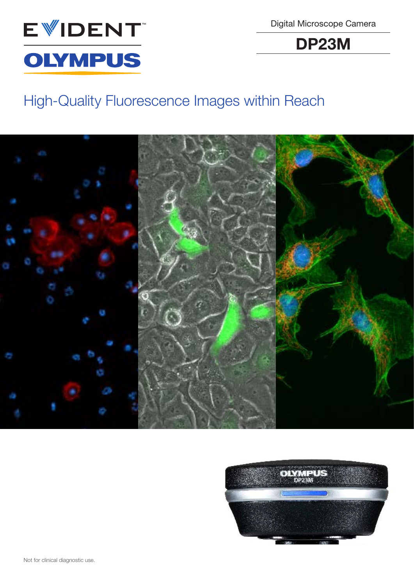

Digital Microscope Camera

DP23M

# High-Quality Fluorescence Images within Reach



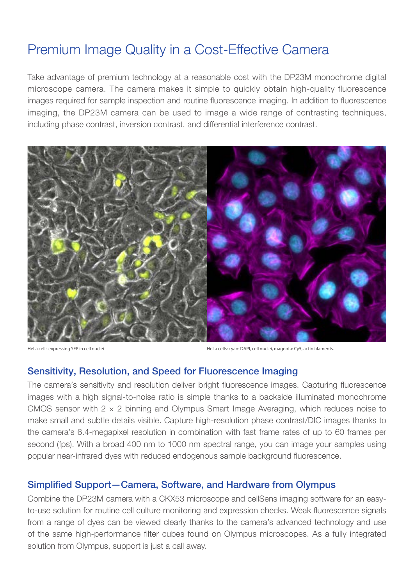# Premium Image Quality in a Cost-Effective Camera

Take advantage of premium technology at a reasonable cost with the DP23M monochrome digital microscope camera. The camera makes it simple to quickly obtain high-quality fluorescence images required for sample inspection and routine fluorescence imaging. In addition to fluorescence imaging, the DP23M camera can be used to image a wide range of contrasting techniques, including phase contrast, inversion contrast, and differential interference contrast.



HeLa cells expressing YFP in cell nuclei HeLa cells: cyan: DAPI, cell nuclei, magenta: Cy5, actin filaments.

### Sensitivity, Resolution, and Speed for Fluorescence Imaging

The camera's sensitivity and resolution deliver bright fluorescence images. Capturing fluorescence images with a high signal-to-noise ratio is simple thanks to a backside illuminated monochrome CMOS sensor with  $2 \times 2$  binning and Olympus Smart Image Averaging, which reduces noise to make small and subtle details visible. Capture high-resolution phase contrast/DIC images thanks to the camera's 6.4-megapixel resolution in combination with fast frame rates of up to 60 frames per second (fps). With a broad 400 nm to 1000 nm spectral range, you can image your samples using popular near-infrared dyes with reduced endogenous sample background fluorescence.

## Simplified Support—Camera, Software, and Hardware from Olympus

Combine the DP23M camera with a CKX53 microscope and cellSens imaging software for an easyto-use solution for routine cell culture monitoring and expression checks. Weak fluorescence signals from a range of dyes can be viewed clearly thanks to the camera's advanced technology and use of the same high-performance filter cubes found on Olympus microscopes. As a fully integrated solution from Olympus, support is just a call away.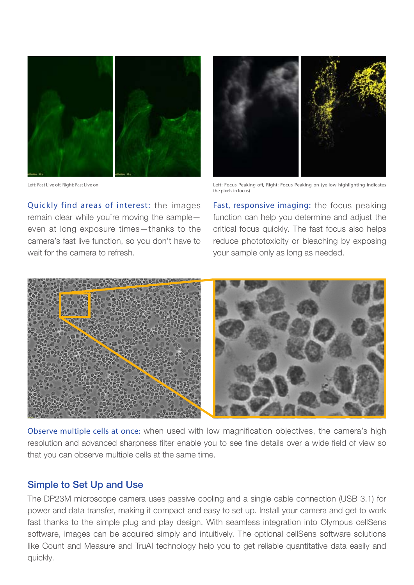

Left: Fast Live off, Right: Fast Live on

Quickly find areas of interest: the images remain clear while you're moving the sample even at long exposure times—thanks to the camera's fast live function, so you don't have to wait for the camera to refresh.



Left: Focus Peaking off, Right: Focus Peaking on (yellow highlighting indicates the pixels in focus)

Fast, responsive imaging: the focus peaking function can help you determine and adjust the critical focus quickly. The fast focus also helps reduce phototoxicity or bleaching by exposing your sample only as long as needed.



Observe multiple cells at once: when used with low magnification objectives, the camera's high resolution and advanced sharpness filter enable you to see fine details over a wide field of view so that you can observe multiple cells at the same time.

#### Simple to Set Up and Use

The DP23M microscope camera uses passive cooling and a single cable connection (USB 3.1) for power and data transfer, making it compact and easy to set up. Install your camera and get to work fast thanks to the simple plug and play design. With seamless integration into Olympus cellSens software, images can be acquired simply and intuitively. The optional cellSens software solutions like Count and Measure and TruAI technology help you to get reliable quantitative data easily and quickly.